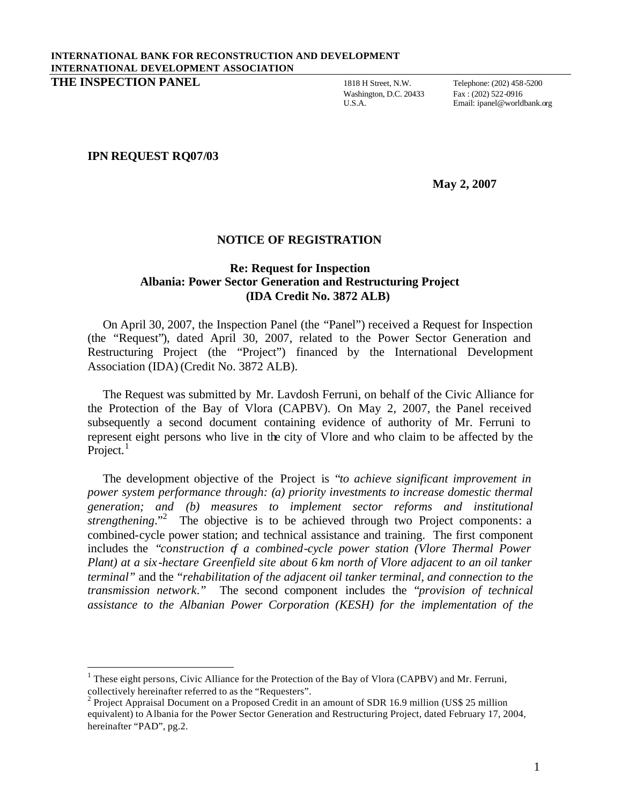Washington, D.C. 20433<br>U.S.A.

Email: ipanel@worldbank.org

## **IPN REQUEST RQ07/03**

l

**May 2, 2007**

## **NOTICE OF REGISTRATION**

## **Re: Request for Inspection Albania: Power Sector Generation and Restructuring Project (IDA Credit No. 3872 ALB)**

On April 30, 2007, the Inspection Panel (the "Panel") received a Request for Inspection (the "Request"), dated April 30, 2007, related to the Power Sector Generation and Restructuring Project (the "Project") financed by the International Development Association (IDA) (Credit No. 3872 ALB).

The Request was submitted by Mr. Lavdosh Ferruni, on behalf of the Civic Alliance for the Protection of the Bay of Vlora (CAPBV). On May 2, 2007, the Panel received subsequently a second document containing evidence of authority of Mr. Ferruni to represent eight persons who live in the city of Vlore and who claim to be affected by the Project.<sup>1</sup>

The development objective of the Project is "*to achieve significant improvement in power system performance through: (a) priority investments to increase domestic thermal generation; and (b) measures to implement sector reforms and institutional strengthening.*"<sup>2</sup> The objective is to be achieved through two Project components: a combined-cycle power station; and technical assistance and training. The first component includes the "*construction of a combined-cycle power station (Vlore Thermal Power Plant) at a six -hectare Greenfield site about 6 km north of Vlore adjacent to an oil tanker terminal"* and the "*rehabilitation of the adjacent oil tanker terminal, and connection to the transmission network."* The second component includes the "*provision of technical assistance to the Albanian Power Corporation (KESH) for the implementation of the*

<sup>&</sup>lt;sup>1</sup> These eight persons, Civic Alliance for the Protection of the Bay of Vlora (CAPBV) and Mr. Ferruni, collectively hereinafter referred to as the "Requesters".

<sup>&</sup>lt;sup>2</sup> Project Appraisal Document on a Proposed Credit in an amount of SDR 16.9 million (US\$ 25 million equivalent) to Albania for the Power Sector Generation and Restructuring Project, dated February 17, 2004, hereinafter "PAD", pg.2.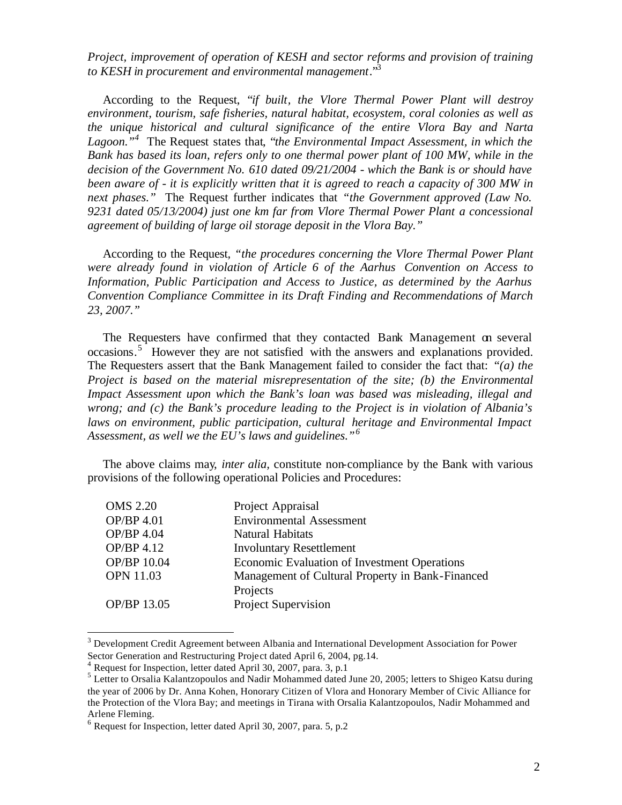*Project, improvement of operation of KESH and sector reforms and provision of training to KESH in procurement and environmental management*." 3

According to the Request, "*if built, the Vlore Thermal Power Plant will destroy environment, tourism, safe fisheries, natural habitat, ecosystem, coral colonies as well as the unique historical and cultural significance of the entire Vlora Bay and Narta* Lagoon.<sup>"<sup>4</sup> The Request states that, "*the Environmental Impact Assessment, in which the*</sup> *Bank has based its loan, refers only to one thermal power plant of 100 MW, while in the decision of the Government No. 610 dated 09/21/2004 - which the Bank is or should have been aware of - it is explicitly written that it is agreed to reach a capacity of 300 MW in next phases."* The Request further indicates that *"the Government approved (Law No. 9231 dated 05/13/2004) just one km far from Vlore Thermal Power Plant a concessional agreement of building of large oil storage deposit in the Vlora Bay."*

According to the Request*, "the procedures concerning the Vlore Thermal Power Plant were already found in violation of Article 6 of the Aarhus Convention on Access to Information, Public Participation and Access to Justice, as determined by the Aarhus Convention Compliance Committee in its Draft Finding and Recommendations of March 23, 2007."*

The Requesters have confirmed that they contacted Bank Management on several occasions.<sup>5</sup> However they are not satisfied with the answers and explanations provided. The Requesters assert that the Bank Management failed to consider the fact that: "*(a) the Project is based on the material misrepresentation of the site; (b) the Environmental Impact Assessment upon which the Bank's loan was based was misleading, illegal and wrong; and (c) the Bank's procedure leading to the Project is in violation of Albania's*  laws on environment, public participation, cultural heritage and Environmental Impact *Assessment, as well we the EU's laws and guidelines." 6*

The above claims may, *inter alia,* constitute non-compliance by the Bank with various provisions of the following operational Policies and Procedures:

| Project Appraisal                                |
|--------------------------------------------------|
| <b>Environmental Assessment</b>                  |
| <b>Natural Habitats</b>                          |
| <b>Involuntary Resettlement</b>                  |
| Economic Evaluation of Investment Operations     |
| Management of Cultural Property in Bank-Financed |
| Projects                                         |
| Project Supervision                              |
|                                                  |

 $3$  Development Credit Agreement between Albania and International Development Association for Power Sector Generation and Restructuring Project dated April 6, 2004, pg.14.

l

<sup>4</sup> Request for Inspection, letter dated April 30, 2007, para. 3, p.1

<sup>&</sup>lt;sup>5</sup> Letter to Orsalia Kalantzopoulos and Nadir Mohammed dated June 20, 2005; letters to Shigeo Katsu during the year of 2006 by Dr. Anna Kohen, Honorary Citizen of Vlora and Honorary Member of Civic Alliance for the Protection of the Vlora Bay; and meetings in Tirana with Orsalia Kalantzopoulos, Nadir Mohammed and Arlene Fleming.

<sup>&</sup>lt;sup>6</sup> Request for Inspection, letter dated April 30, 2007, para. 5, p.2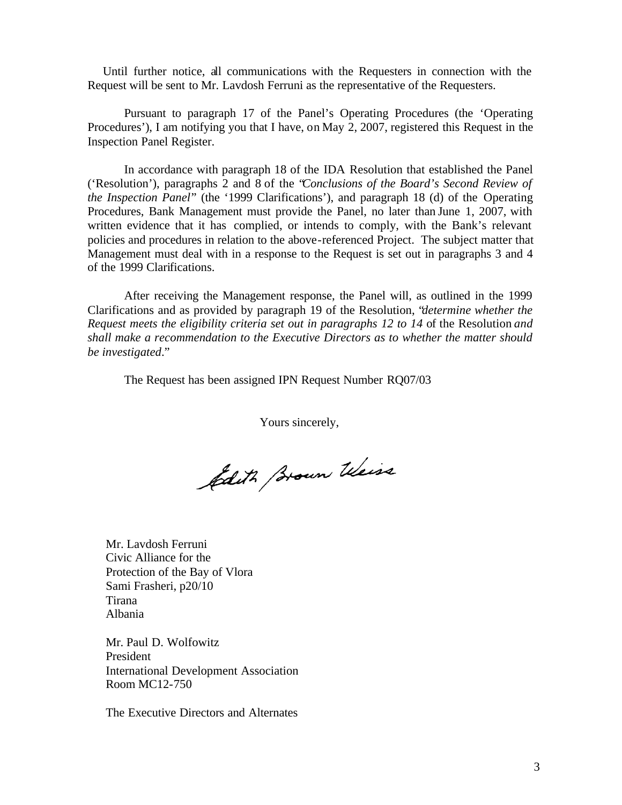Until further notice, all communications with the Requesters in connection with the Request will be sent to Mr. Lavdosh Ferruni as the representative of the Requesters.

Pursuant to paragraph 17 of the Panel's Operating Procedures (the 'Operating Procedures'), I am notifying you that I have, on May 2, 2007, registered this Request in the Inspection Panel Register.

In accordance with paragraph 18 of the IDA Resolution that established the Panel ('Resolution'), paragraphs 2 and 8 of the "*Conclusions of the Board's Second Review of the Inspection Panel*" (the '1999 Clarifications'), and paragraph 18 (d) of the Operating Procedures, Bank Management must provide the Panel, no later than June 1, 2007, with written evidence that it has complied, or intends to comply, with the Bank's relevant policies and procedures in relation to the above-referenced Project. The subject matter that Management must deal with in a response to the Request is set out in paragraphs 3 and 4 of the 1999 Clarifications.

After receiving the Management response, the Panel will, as outlined in the 1999 Clarifications and as provided by paragraph 19 of the Resolution, "*determine whether the Request meets the eligibility criteria set out in paragraphs 12 to 14* of the Resolution *and shall make a recommendation to the Executive Directors as to whether the matter should be investigated*."

The Request has been assigned IPN Request Number RQ07/03

Yours sincerely,

filith stown Weiss

Mr. Lavdosh Ferruni Civic Alliance for the Protection of the Bay of Vlora Sami Frasheri, p20/10 Tirana Albania

Mr. Paul D. Wolfowitz President International Development Association Room MC12-750

The Executive Directors and Alternates